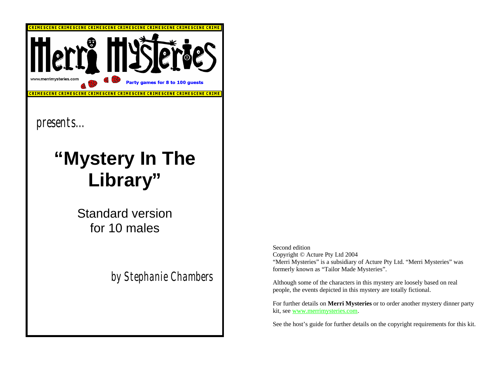

Second edition Copyright © Acture Pty Ltd 2004 "Merri Mysteries" is a subsidiary of Acture Pty Ltd. "Merri Mysteries" was formerly known as "Tailor Made Mysteries".

Although some of the characters in this mystery are loosely based on real people, the events depicted in this mystery are totally fictional.

For further details on **Merri Mysteries** or to order another mystery dinner party kit, see www.merrimysteries.com.

See the host's guide for further details on the copyright requirements for this kit.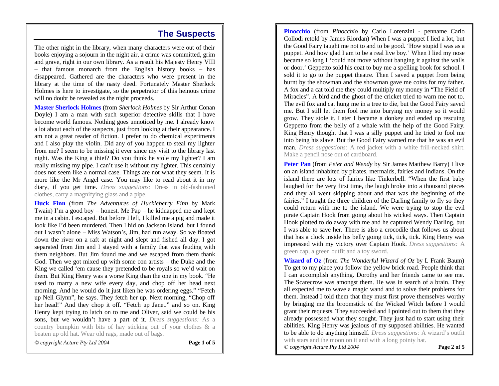#### **The Suspects**

The other night in the library, when many characters were out of their books enjoying a sojourn in the night air, a crime was committed, grim and grave, right in our own library. As a result his Majesty Henry VIII – that famous monarch from the English history books – has disappeared. Gathered are the characters who were present in the library at the time of the nasty deed. Fortunately Master Sherlock Holmes is here to investigate, so the perpetrator of this heinous crime will no doubt be revealed as the night proceeds.

**Master Sherlock Holmes** (from *Sherlock Holmes* by Sir Arthur Conan Doyle) I am a man with such superior detective skills that I have become world famous. Nothing goes unnoticed by me. I already know a lot about each of the suspects, just from looking at their appearance. I am not a great reader of fiction. I prefer to do chemical experiments and I also play the violin. Did any of you happen to steal my lighter from me? I seem to be missing it ever since my visit to the library last night. Was the King a thief? Do you think he stole my lighter? I am really missing my pipe. I can't use it without my lighter. This certainly does not seem like a normal case. Things are not what they seem. It is more like the Mr Angel case. You may like to read about it in my diary, if you get time. *Dress suggestions:* Dress in old-fashioned clothes, carry a magnifying glass and a pipe.

**Huck Finn** (from *The Adventures of Huckleberry Finn* by Mark Twain) I'm a good boy – honest. Me Pap – he kidnapped me and kept me in a cabin. I escaped. But before I left, I killed me a pig and made it look like I'd been murdered. Then I hid on Jackson Island, but I found out I wasn't alone – Miss Watson's, Jim, had run away. So we floated down the river on a raft at night and slept and fished all day. I got separated from Jim and I stayed with a family that was feuding with them neighbors. But Jim found me and we escaped from them thank God. Then we got mixed up with some con artists – the Duke and the King we called 'em cause they pretended to be royals so we'd wait on them. But King Henry was a worse King than the one in my book. "He used to marry a new wife every day, and chop off her head next morning. And he would do it just liken he was ordering eggs." "Fetch up Nell Glynn", he says. They fetch her up. Next morning, "Chop off her head!" And they chop it off. "Fetch up Jane.." and so on. King Henry kept trying to latch on to me and Oliver, said we could be his sons, but we wouldn't have a part of it. *Dress suggestions:* As a country bumpkin with bits of hay sticking out of your clothes & a beaten up old hat. Wear old rags, made out of bags.

*© copyright Acture Pty Ltd 2004* **Page 1 of 5**

**Pinocchio** (from *Pinocchio* by Carlo Lorenzini - penname Carlo Collodi retold by James Riordan) When I was a puppet I lied a lot, but the Good Fairy taught me not to and to be good. 'How stupid I was as a puppet. And how glad I am to be a real live boy.' When I lied my nose became so long I 'could not move without banging it against the walls or door.' Geppetto sold his coat to buy me a spelling book for school. I sold it to go to the puppet theatre. Then I saved a puppet from being burnt by the showman and the showman gave me coins for my father. A fox and a cat told me they could multiply my money in "The Field of Miracles". A bird and the ghost of the cricket tried to warn me not to. The evil fox and cat hung me in a tree to die, but the Good Fairy saved me. But I still let them fool me into burying my money so it would grow. They stole it. Later I became a donkey and ended up rescuing Geppetto from the belly of a whale with the help of the Good Fairy. King Henry thought that I was a silly puppet and he tried to fool me into being his slave. But the Good Fairy warned me that he was an evil man. *Dress suggestions:* A red jacket with a white frill-necked shirt. Make a pencil nose out of cardboard.

**Peter Pan** (from *Peter and Wendy* by Sir James Matthew Barry) I live on an island inhabited by pirates, mermaids, fairies and Indians. On the island there are lots of fairies like Tinkerbell. "When the first baby laughed for the very first time, the laugh broke into a thousand pieces and they all went skipping about and that was the beginning of the fairies." I taught the three children of the Darling family to fly so they could return with me to the island. We were trying to stop the evil pirate Captain Hook from going about his wicked ways. Then Captain Hook plotted to do away with me and he captured Wendy Darling, but I was able to save her. There is also a crocodile that follows us about that has a clock inside his belly going tick, tick, tick. King Henry was impressed with my victory over Captain Hook. *Dress suggestions:* A green cap, a green outfit and a toy sword.

**Wizard of Oz** (from *The Wonderful Wizard of Oz* by L Frank Baum) To get to my place you follow the yellow brick road. People think that I can accomplish anything. Dorothy and her friends came to see me. The Scarecrow was amongst them. He was in search of a brain. They all expected me to wave a magic wand and to solve their problems for them. Instead I told them that they must first prove themselves worthy by bringing me the broomstick of the Wicked Witch before I would grant their requests. They succeeded and I pointed out to them that they already possessed what they sought. They just had to start using their abilities. King Henry was jealous of my supposed abilities. He wanted to be able to do anything himself. *Dress suggestions:* A wizard's outfit with stars and the moon on it and with a long pointy hat. *© copyright Acture Pty Ltd 2004* **Page 2 of 5**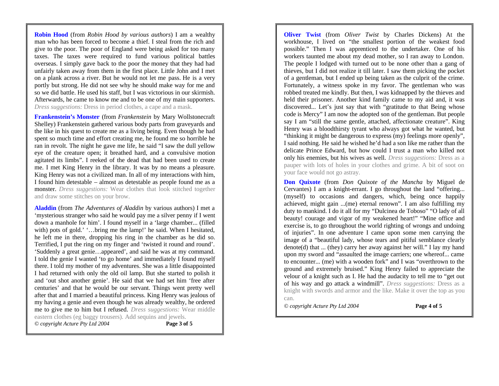**Robin Hood** (from *Robin Hood by various authors*) I am a wealthy man who has been forced to become a thief. I steal from the rich and give to the poor. The poor of England were being asked for too many taxes. The taxes were required to fund various political battles overseas. I simply gave back to the poor the money that they had had unfairly taken away from them in the first place. Little John and I met on a plank across a river. But he would not let me pass. He is a very portly but strong. He did not see why he should make way for me and so we did battle. He used his staff, but I was victorious in our skirmish. Afterwards, he came to know me and to be one of my main supporters. *Dress suggestions:* Dress in period clothes, a cape and a mask.

**Frankenstein's Monster** (from *Frankenstein* by Mary Wollstonecraft Shelley) Frankenstein gathered various body parts from graveyards and the like in his quest to create me as a living being. Even though he had spent so much time and effort creating me, he found me so horrible he ran in revolt. The night he gave me life, he said "I saw the dull yellow eye of the creature open; it breathed hard, and a convulsive motion agitated its limbs". I reeked of the dead that had been used to create me. I met King Henry in the library. It was by no means a pleasure. King Henry was not a civilized man. In all of my interactions with him, I found him detestable – almost as detestable as people found me as a monster. *Dress suggestions:* Wear clothes that look stitched together and draw some stitches on your brow.

**Aladdin** (from *The Adventures of Aladdin* by various authors) I met a 'mysterious stranger who said he would pay me a silver penny if I went down a manhole for him'. I found myself in a 'large chamber... (filled with) pots of gold.' '...bring me the lamp!' he said. When I hesitated, he left me in there, dropping his ring in the chamber as he did so. Terrified, I put the ring on my finger and 'twisted it round and round'. 'Suddenly a great genie…appeared', and said he was at my command. I told the genie I wanted 'to go home' and immediately I found myself there. I told my mother of my adventures. She was a little disappointed I had returned with only the old oil lamp. But she started to polish it and 'out shot another genie'. He said that we had set him 'free after centuries' and that he would be our servant. Things went pretty well after that and I married a beautiful princess. King Henry was jealous of my having a genie and even though he was already wealthy, he ordered me to give me to him but I refused. *Dress suggestions:* Wear middle eastern clothes (eg baggy trousers). Add sequins and jewels. *© copyright Acture Pty Ltd 2004* **Page 3 of 5**

**Oliver Twist** (from *Oliver Twist* by Charles Dickens) At the workhouse, I lived on "the smallest portion of the weakest food possible." Then I was apprenticed to the undertaker. One of his workers taunted me about my dead mother, so I ran away to London. The people I lodged with turned out to be none other than a gang of thieves, but I did not realize it till later. I saw them picking the pocket of a gentleman, but I ended up being taken as the culprit of the crime. Fortunately, a witness spoke in my favor. The gentleman who was robbed treated me kindly. But then, I was kidnapped by the thieves and held their prisoner. Another kind family came to my aid and, it was discovered... Let's just say that with "gratitude to that Being whose code is Mercy" I am now the adopted son of the gentleman. But people say I am "still the same gentle, attached, affectionate creature". King Henry was a bloodthirsty tyrant who always got what he wanted, but "thinking it might be dangerous to express (my) feelings more openly", I said nothing. He said he wished he'd had a son like me rather than the delicate Prince Edward, but how could I trust a man who killed not only his enemies, but his wives as well. *Dress suggestions:* Dress as a pauper with lots of holes in your clothes and grime. A bit of soot on your face would not go astray.

**Don Quixote** (from *Don Quixote of the Mancha* by Miguel de Cervantes) I am a knight-errant. I go throughout the land "offering... (myself) to occasions and dangers, which, being once happily achieved, might gain ...(me) eternal renown". I am also fulfilling my duty to mankind. I do it all for my "Dulcinea de Toboso" "O lady of all beauty! courage and vigor of my weakened heart!" "Mine office and exercise is, to go throughout the world righting of wrongs and undoing of injuries". In one adventure I came upon some men carrying the image of a "beautiful lady, whose tears and pitiful semblance clearly denote(d) that ... (they) carry her away against her will." I lay my hand upon my sword and "assaulted the image carriers; one whereof... came to encounter... (me) with a wooden fork" and I was "overthrown to the ground and extremely bruised." King Henry failed to appreciate the velour of a knight such as I. He had the audacity to tell me to "get out of his way and go attack a windmill". *Dress suggestions:* Dress as a knight with swords and armor and the like. Make it over the top as you can.

*© copyright Acture Pty Ltd 2004* **Page 4 of 5**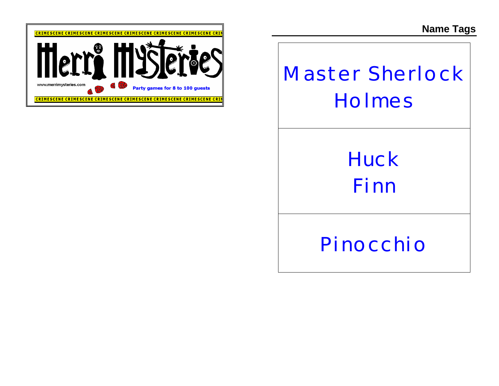**Name Tags**



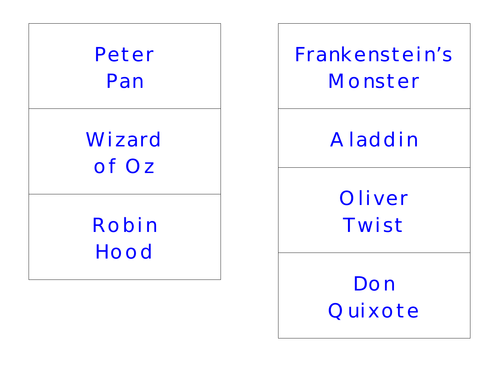

**Frankenstein's Monster**

### **Aladdin**

**Oliver Twist**

**Don Quixote**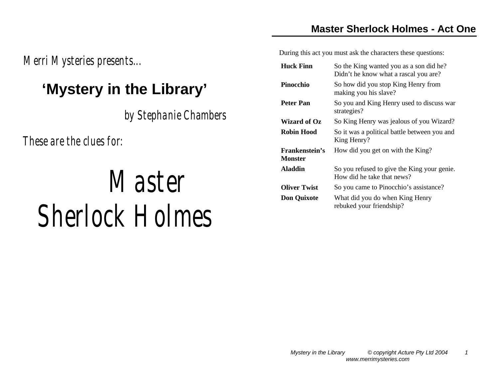*Merri Mysteries presents...* 

#### **'Mystery in the Library'**

*by Stephanie Chambers*

*These are the clues for:*

# *Master Sherlock Holmes*

During this act you must ask the characters these questions:

| <b>Huck Finn</b>                        | So the King wanted you as a son did he?<br>Didn't he know what a rascal you are? |
|-----------------------------------------|----------------------------------------------------------------------------------|
| Pinocchio                               | So how did you stop King Henry from<br>making you his slave?                     |
| <b>Peter Pan</b>                        | So you and King Henry used to discuss war<br>strategies?                         |
| Wizard of Oz                            | So King Henry was jealous of you Wizard?                                         |
| Robin Hood                              | So it was a political battle between you and<br>King Henry?                      |
| <b>Frankenstein's</b><br><b>Monster</b> | How did you get on with the King?                                                |
| <b>Aladdin</b>                          | So you refused to give the King your genie.<br>How did he take that news?        |
| <b>Oliver Twist</b>                     | So you came to Pinocchio's assistance?                                           |
| <b>Don Quixote</b>                      | What did you do when King Henry<br>rebuked your friendship?                      |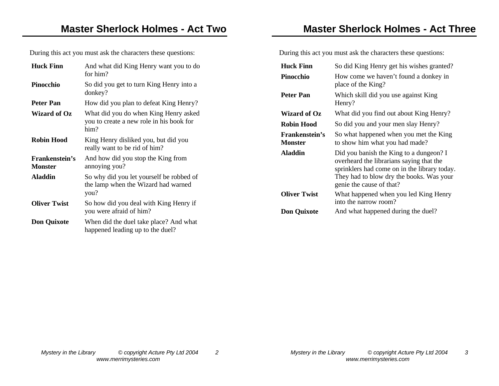During this act you must ask the characters these questions:

| <b>Huck Finn</b>                        | And what did King Henry want you to do<br>for him?                                        |
|-----------------------------------------|-------------------------------------------------------------------------------------------|
| Pinocchio                               | So did you get to turn King Henry into a<br>donkey?                                       |
| Peter Pan                               | How did you plan to defeat King Henry?                                                    |
| Wizard of Oz                            | What did you do when King Henry asked<br>you to create a new role in his book for<br>him? |
| Robin Hood                              | King Henry disliked you, but did you<br>really want to be rid of him?                     |
| <b>Frankenstein's</b><br><b>Monster</b> | And how did you stop the King from<br>annoying you?                                       |
| <b>Aladdin</b>                          | So why did you let yourself be robbed of<br>the lamp when the Wizard had warned<br>you?   |
| <b>Oliver Twist</b>                     | So how did you deal with King Henry if<br>you were afraid of him?                         |
| <b>Don Quixote</b>                      | When did the duel take place? And what<br>happened leading up to the duel?                |

**Master Sherlock Holmes - Act Three**

During this act you must ask the characters these questions:

| Huck Finn<br>Pinocchio                  | So did King Henry get his wishes granted?<br>How come we haven't found a donkey in<br>place of the King?                                                                                                    |
|-----------------------------------------|-------------------------------------------------------------------------------------------------------------------------------------------------------------------------------------------------------------|
| Peter Pan                               | Which skill did you use against King<br>Henry?                                                                                                                                                              |
| Wizard of Oz                            | What did you find out about King Henry?                                                                                                                                                                     |
| Robin Hood                              | So did you and your men slay Henry?                                                                                                                                                                         |
| <b>Frankenstein's</b><br><b>Monster</b> | So what happened when you met the King<br>to show him what you had made?                                                                                                                                    |
| <b>Aladdin</b>                          | Did you banish the King to a dungeon? I<br>overheard the librarians saying that the<br>sprinklers had come on in the library today.<br>They had to blow dry the books. Was your<br>genie the cause of that? |
| Oliver Twist                            | What happened when you led King Henry<br>into the narrow room?                                                                                                                                              |
| <b>Don Quixote</b>                      | And what happened during the duel?                                                                                                                                                                          |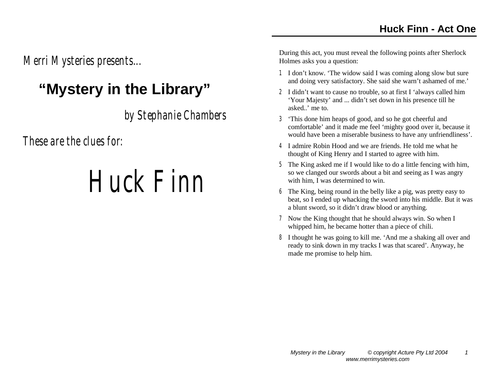*Merri Mysteries presents...* 

### **"Mystery in the Library"**

*by Stephanie Chambers*

*These are the clues for:*

## *Huck Finn*

- 1 I don't know. 'The widow said I was coming along slow but sure and doing very satisfactory. She said she warn't ashamed of me.'
- 2 I didn't want to cause no trouble, so at first I 'always called him 'Your Majesty' and ... didn't set down in his presence till he asked..' me to.
- 3 'This done him heaps of good, and so he got cheerful and comfortable' and it made me feel 'mighty good over it, because it would have been a miserable business to have any unfriendliness'.
- 4 I admire Robin Hood and we are friends. He told me what he thought of King Henry and I started to agree with him.
- 5 The King asked me if I would like to do a little fencing with him, so we clanged our swords about a bit and seeing as I was angry with him, I was determined to win.
- 6 The King, being round in the belly like a pig, was pretty easy to beat, so I ended up whacking the sword into his middle. But it was a blunt sword, so it didn't draw blood or anything.
- 7 Now the King thought that he should always win. So when I whipped him, he became hotter than a piece of chili.
- 8 I thought he was going to kill me. 'And me a shaking all over and ready to sink down in my tracks I was that scared'. Anyway, he made me promise to help him.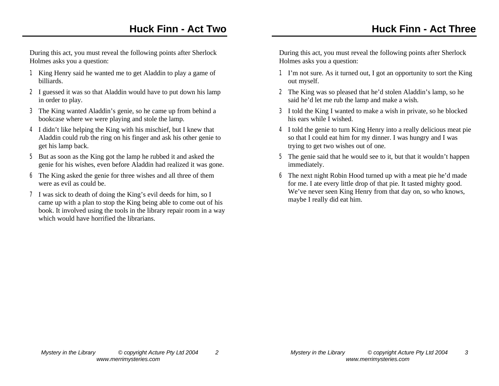During this act, you must reveal the following points after Sherlock Holmes asks you a question:

- 1 King Henry said he wanted me to get Aladdin to play a game of billiards.
- 2 I guessed it was so that Aladdin would have to put down his lamp in order to play.
- 3 The King wanted Aladdin's genie, so he came up from behind a bookcase where we were playing and stole the lamp.
- 4 I didn't like helping the King with his mischief, but I knew that Aladdin could rub the ring on his finger and ask his other genie to get his lamp back.
- 5 But as soon as the King got the lamp he rubbed it and asked the genie for his wishes, even before Aladdin had realized it was gone.
- 6 The King asked the genie for three wishes and all three of them were as evil as could be.
- 7 I was sick to death of doing the King's evil deeds for him, so I came up with a plan to stop the King being able to come out of his book. It involved using the tools in the library repair room in a way which would have horrified the librarians.

- 1 I'm not sure. As it turned out, I got an opportunity to sort the King out myself.
- 2 The King was so pleased that he'd stolen Aladdin's lamp, so he said he'd let me rub the lamp and make a wish.
- 3 I told the King I wanted to make a wish in private, so he blocked his ears while I wished.
- 4 I told the genie to turn King Henry into a really delicious meat pie so that I could eat him for my dinner. I was hungry and I was trying to get two wishes out of one.
- 5 The genie said that he would see to it, but that it wouldn't happen immediately.
- 6 The next night Robin Hood turned up with a meat pie he'd made for me. I ate every little drop of that pie. It tasted mighty good. We've never seen King Henry from that day on, so who knows, maybe I really did eat him.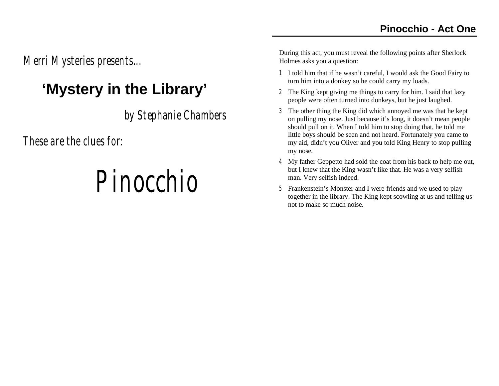*Merri Mysteries presents...* 

#### **'Mystery in the Library'**

*by Stephanie Chambers*

*These are the clues for:*

### *Pinocchio*

- 1 I told him that if he wasn't careful, I would ask the Good Fairy to turn him into a donkey so he could carry my loads.
- 2 The King kept giving me things to carry for him. I said that lazy people were often turned into donkeys, but he just laughed.
- 3 The other thing the King did which annoyed me was that he kept on pulling my nose. Just because it's long, it doesn't mean people should pull on it. When I told him to stop doing that, he told me little boys should be seen and not heard. Fortunately you came to my aid, didn't you Oliver and you told King Henry to stop pulling my nose.
- 4 My father Geppetto had sold the coat from his back to help me out, but I knew that the King wasn't like that. He was a very selfish man. Very selfish indeed.
- 5 Frankenstein's Monster and I were friends and we used to play together in the library. The King kept scowling at us and telling us not to make so much noise.